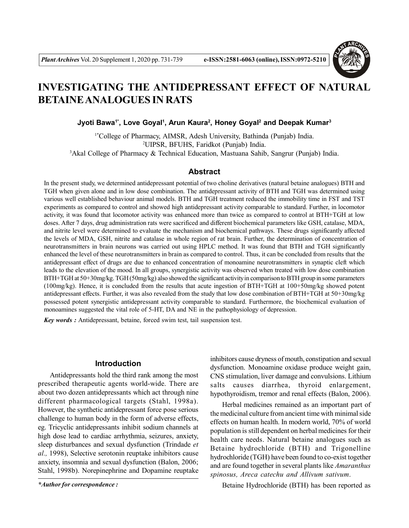

# **INVESTIGATING THE ANTIDEPRESSANT EFFECT OF NATURAL BETAINE ANALOGUES IN RATS**

#### **Jyoti Bawa1\*, Love Goyal<sup>1</sup> , Arun Kaura<sup>2</sup> , Honey Goyal<sup>2</sup> and Deepak Kumar<sup>3</sup>**

1\*College of Pharmacy, AIMSR, Adesh University, Bathinda (Punjab) India. <sup>2</sup>UIPSR, BFUHS, Faridkot (Punjab) India. <sup>3</sup>Akal College of Pharmacy & Technical Education, Mastuana Sahib, Sangrur (Punjab) India.

# **Abstract**

In the present study, we determined antidepressant potential of two choline derivatives (natural betaine analogues) BTH and TGH when given alone and in low dose combination. The antidepressant activity of BTH and TGH was determined using various well established behaviour animal models. BTH and TGH treatment reduced the immobility time in FST and TST experiments as compared to control and showed high antidepressant activity comparable to standard. Further, in locomotor activity, it was found that locomotor activity was enhanced more than twice as compared to control at BTH+TGH at low doses. After 7 days, drug administration rats were sacrificed and different biochemical parameters like GSH, catalase, MDA, and nitrite level were determined to evaluate the mechanism and biochemical pathways. These drugs significantly affected the levels of MDA, GSH, nitrite and catalase in whole region of rat brain. Further, the determination of concentration of neurotransmitters in brain neurons was carried out using HPLC method. It was found that BTH and TGH significantly enhanced the level of these neurotransmitters in brain as compared to control. Thus, it can be concluded from results that the antidepressant effect of drugs are due to enhanced concentration of monoamine neurotransmitters in synaptic cleft which leads to the elevation of the mood. In all groups, synergistic activity was observed when treated with low dose combination BTH+TGH at 50+30mg/kg. TGH (50mg/kg) also showed the significant activity in comparison to BTH group in some parameters (100mg/kg). Hence, it is concluded from the results that acute ingestion of BTH+TGH at 100+50mg/kg showed potent antidepressant effects. Further, it was also revealed from the study that low dose combination of BTH+TGH at 50+30mg/kg possessed potent synergistic antidepressant activity comparable to standard. Furthermore, the biochemical evaluation of monoamines suggested the vital role of 5-HT, DA and NE in the pathophysiology of depression.

*Key words :* Antidepressant, betaine, forced swim test, tail suspension test.

# **Introduction**

Antidepressants hold the third rank among the most prescribed therapeutic agents world-wide. There are about two dozen antidepressants which act through nine different pharmacological targets (Stahl, 1998a). However, the synthetic antidepressant force pose serious challenge to human body in the form of adverse effects, eg. Tricyclic antidepressants inhibit sodium channels at high dose lead to cardiac arrhythmia, seizures, anxiety, sleep disturbances and sexual dysfunction (Trindade *et al.,* 1998), Selective serotonin reuptake inhibitors cause anxiety, insomnia and sexual dysfunction (Balon, 2006; Stahl, 1998b). Norepinephrine and Dopamine reuptake

inhibitors cause dryness of mouth, constipation and sexual dysfunction. Monoamine oxidase produce weight gain, CNS stimulation, liver damage and convulsions. Lithium salts causes diarrhea, thyroid enlargement, hypothyroidism, tremor and renal effects (Balon, 2006).

Herbal medicines remained as an important part of the medicinal culture from ancient time with minimal side effects on human health. In modern world, 70% of world population is still dependent on herbal medicines for their health care needs. Natural betaine analogues such as Betaine hydrochloride (BTH) and Trigonelline hydrochloride (TGH) have been found to co-exist together and are found together in several plants like *Amaranthus spinosus, Areca catechu and Allivum sativum*.

*\*Author for correspondence :* Betaine Hydrochloride (BTH) has been reported as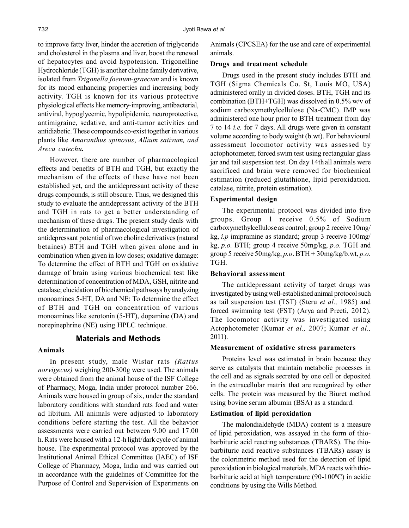to improve fatty liver, hinder the accretion of triglyceride and cholesterol in the plasma and liver, boost the renewal of hepatocytes and avoid hypotension. Trigonelline Hydrochloride (TGH) is another choline family derivative, isolated from *Trigonella foenum-graecum* and is known for its mood enhancing properties and increasing body activity. TGH is known for its various protective physiological effects like memory-improving, antibacterial, antiviral, hypoglycemic, hypolipidemic, neuroprotective, antimigraine, sedative, and anti-tumor activities and antidiabetic. These compounds co-exist together in various plants like *Amaranthus spinosus*, *Allium sativum, and Areca catechu.*

However, there are number of pharmacological effects and benefits of BTH and TGH, but exactly the mechanism of the effects of these have not been established yet, and the antidepressant activity of these drugs compounds, is still obscure. Thus, we designed this study to evaluate the antidepressant activity of the BTH and TGH in rats to get a better understanding of mechanism of these drugs. The present study deals with the determination of pharmacological investigation of antidepressant potential of two choline derivatives (natural betaines) BTH and TGH when given alone and in combination when given in low doses; oxidative damage: To determine the effect of BTH and TGH on oxidative damage of brain using various biochemical test like determination of concentration of MDA, GSH, nitrite and catalase; elucidation of biochemical pathways by analyzing monoamines 5-HT, DA and NE: To determine the effect of BTH and TGH on concentration of various monoamines like serotonin (5-HT), dopamine (DA) and norepinephrine (NE) using HPLC technique.

# **Materials and Methods**

#### **Animals**

In present study, male Wistar rats *(Rattus norvigecus)* weighing 200-300g were used. The animals were obtained from the animal house of the ISF College of Pharmacy, Moga, India under protocol number 266. Animals were housed in group of six, under the standard laboratory conditions with standard rats food and water ad libitum. All animals were adjusted to laboratory conditions before starting the test. All the behavior assessments were carried out between 9.00 and 17.00 h. Rats were housed with a 12-h light/dark cycle of animal house. The experimental protocol was approved by the Institutional Animal Ethical Committee (IAEC) of ISF College of Pharmacy, Moga, India and was carried out in accordance with the guidelines of Committee for the Purpose of Control and Supervision of Experiments on Animals (CPCSEA) for the use and care of experimental animals.

#### **Drugs and treatment schedule**

Drugs used in the present study includes BTH and TGH (Sigma Chemicals Co. St, Louis MO, USA) administered orally in divided doses. BTH, TGH and its combination (BTH+TGH) was dissolved in 0.5% w/v of sodium carboxymethylcellulose (Na-CMC). IMP was administered one hour prior to BTH treatment from day 7 to 14 *i.e.* for 7 days. All drugs were given in constant volume according to body weight (b.wt). For behavioural assessment locomotor activity was assessed by actophotometer, forced swim test using rectangular glass jar and tail suspension test. On day 14thall animals were sacrificed and brain were removed for biochemical estimation (reduced glutathione, lipid peroxidation. catalase, nitrite, protein estimation).

#### **Experimental design**

The experimental protocol was divided into five groups. Group 1 receive 0.5% of Sodium carboxymethylcellulose as control; group 2 receive 10mg/ kg, *i.p* imipramine as standard; group 3 receive 100mg/ kg, *p.o.* BTH; group 4 receive 50mg/kg, *p.o.* TGH and group 5 receive 50mg/kg, *p.o*. BTH + 30mg/kg/b.wt, *p.o.* TGH.

#### **Behavioral assessment**

The antidepressant activity of target drugs was investigated by using well-established animal protocol such as tail suspension test (TST) (Steru *et al.,* 1985) and forced swimming test (FST) (Arya and Preeti, 2012). The locomotor activity was investigated using Actophotometer (Kumar *et al.,* 2007; Kumar *et al.,* 2011).

### **Measurement of oxidative stress parameters**

Proteins level was estimated in brain because they serve as catalysts that maintain metabolic processes in the cell and as signals secreted by one cell or deposited in the extracellular matrix that are recognized by other cells. The protein was measured by the Biuret method using bovine serum albumin (BSA) as a standard.

#### **Estimation of lipid peroxidation**

The malondialdehyde (MDA) content is a measure of lipid peroxidation, was assayed in the form of thiobarbituric acid reacting substances (TBARS). The thiobarbituric acid reactive substances (TBARs) assay is the colorimetric method used for the detection of lipid peroxidation in biological materials. MDA reacts with thiobarbituric acid at high temperature  $(90-100\degree C)$  in acidic conditions by using the Wills Method.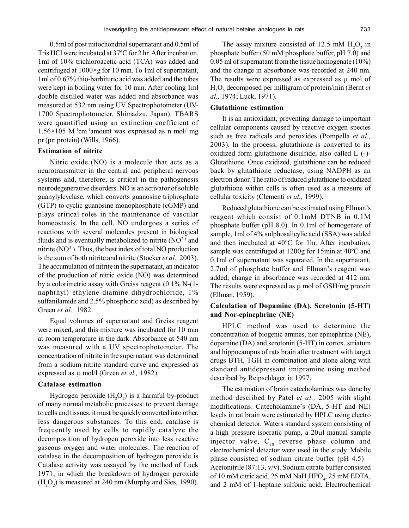0.5ml of post mitochondrial supernatant and 0.5ml of Tris HCl were incubated at 37ºC for 2 hr. After incubation, 1ml of 10% trichloroacetic acid (TCA) was added and centrifuged at 1000×g for 10 min. To 1ml of supernatant, 1ml of 0.67% thio-barbituric acid was added and the tubes were kept in boiling water for 10 min. After cooling 1ml double distilled water was added and absorbance was measured at 532 nm using UV Spectrophotometer (UV-1700 Spectrophotometer, Shimadzu, Japan). TBARS were quantified using an extinction coefficient of 1.56×105 M-1cm-1amount was expressed as n mol/ mg pr (pr: protein) (Wills, 1966).

#### **Estimation of nitrite**

Nitric oxide (NO) is a molecule that acts as a neurotransmitter in the central and peripheral nervous systems and, therefore, is critical in the pathogenesis neurodegenerative disorders. NO is an activator of soluble guanylylcyclase, which converts guanosine triphosphate (GTP) to cyclic guanosine monophosphate (cGMP) and plays critical roles in the maintenance of vascular homeostasis. In the cell, NO undergoes a series of reactions with several molecules present in biological fluids and is eventually metabolized to nitrite  $(NO<sup>2</sup>)$  and nitrite  $(NO<sup>3-</sup>)$ . Thus, the best index of total NO production is the sum of both nitrite and nitrite (Stocker *et al.,* 2003). The accumulation of nitrite in the supernatant, an indicator of the production of nitric oxide (NO) was determined by a colorimetric assay with Greiss reagent (0.1% N-(1 naphthyl) ethylene diamine dihydrochloride, 1% sulfanilamide and 2.5% phosphoric acid) as described by Green *et al.,* 1982.

Equal volumes of supernatant and Greiss reagent were mixed, and this mixture was incubated for 10 min at room temperature in the dark. Absorbance at 540 nm was measured with a UV spectrophotometer. The concentration of nitrite in the supernatant was determined from a sodium nitrite standard curve and expressed as expressed as µ mol/l (Green *et al.,* 1982).

#### **Catalase estimation**

Hydrogen peroxide  $(H_2O_2)$  is a harmful by-product of many normal metabolic processes: to prevent damage to cells and tissues, it must be quickly converted into other, less dangerous substances. To this end, catalase is frequently used by cells to rapidly catalyze the decomposition of hydrogen peroxide into less reactive gaseous oxygen and water molecules. The reaction of catalase in the decomposition of hydrogen peroxide is Catalase activity was assayed by the method of Luck 1971, in which the breakdown of hydrogen peroxide  $(H_2O_2)$  is measured at 240 nm (Murphy and Sies, 1990).

The assay mixture consisted of 12.5 mM  $H_2O_2$  in phosphate buffer (50 mM phosphate buffer, pH 7.0) and 0.05 ml of supernatant from the tissue homogenate (10%) and the change in absorbance was recorded at 240 nm. The results were expressed as expressed as  $\mu$  mol of H2O<sup>2</sup> decomposed per milligram of protein/min (Bernt *et al.,* 1974; Luck, 1971).

#### **Glutathione estimation**

It is an antioxidant, preventing damage to important cellular components caused by reactive oxygen species such as free radicals and peroxides (Pompella *et al.,* 2003). In the process, glutathione is converted to its oxidized form glutathione disulfide, also called L (-)- Glutathione. Once oxidized, glutathione can be reduced back by glutathione reductase, using NADPH as an electron donor. The ratio of reduced glutathione to oxidized glutathione within cells is often used as a measure of cellular toxicity (Clementi *et al.,* 1999).

Reduced glutathione can be estimated using Ellman's reagent which consist of 0.1mM DTNB in 0.1M phosphate buffer (pH 8.0). In 0.1ml of homogenate of sample, 1ml of 4% sulphosalicylic acid (SSA) was added and then incubated at 40ºC for 1hr. After incubation, sample was centrifuged at 1200g for 15min at 40ºC and 0.1ml of supernatant was separated. In the supernatant, 2.7ml of phosphate buffer and Ellman's reagent was added; change in absorbance was recorded at 412 nm. The results were expressed as  $\mu$  mol of GSH/mg protein (Ellman, 1959).

### **Calculation of Dopamine (DA), Serotonin (5-HT) and Nor-epinephrine (NE)**

HPLC method was used to determine the concentration of biogenic amines, nor epinephrine (NE), dopamine (DA) and serotonin (5-HT) in cortex, striatum and hippocampus of rats brain after treatment with target drugs BTH, TGH in combination and alone along with standard antidepressant imipramine using method described by Reipschlager in 1997.

The estimation of brain catecholamines was done by method described by Patel *et al.,* 2005 with slight modifications. Catecholamine's (DA, 5-HT and NE) levels in rat brain were estimated by HPLC using electro chemical detector. Waters standard system consisting of a high pressure isocratic pump, a 20µl manual sample injector valve,  $C_{18}$  reverse phase column and electrochemical detector were used in the study. Mobile phase consisted of sodium citrate buffer (pH 4.5) – Acetonitrile (87:13, v/v). Sodium citrate buffer consisted of 10 mM citric acid, 25 mM  $\text{NaH}_2\text{HPO}_4$ , 25 mM EDTA, and 2 mM of 1-heptane sulfonic acid. Electrochemical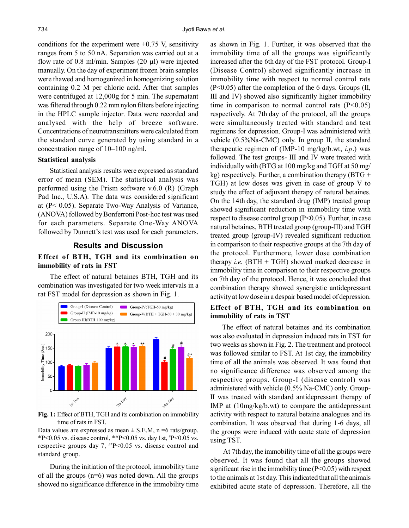conditions for the experiment were  $+0.75$  V, sensitivity ranges from 5 to 50 nA. Separation was carried out at a flow rate of 0.8 ml/min. Samples  $(20 \mu l)$  were injected manually. On the day of experiment frozen brain samples were thawed and homogenized in homogenizing solution containing 0.2 M per chloric acid. After that samples were centrifuged at 12,000g for 5 min. The supernatant was filtered through 0.22 mm nylon filters before injecting in the HPLC sample injector. Data were recorded and analysed with the help of breeze software. Concentrations of neurotransmitters were calculated from the standard curve generated by using standard in a concentration range of 10–100 ng/ml.

#### **Statistical analysis**

Statistical analysis results were expressed as standard error of mean (SEM). The statistical analysis was performed using the Prism software v.6.0 (R) (Graph Pad Inc., U.S.A). The data was considered significant at (P< 0.05). Separate Two-Way Analysis of Variance, (ANOVA) followed by Bonferroni Post-hoc test was used for each parameters. Separate One-Way ANOVA followed by Dunnett's test was used for each parameters.

## **Results and Discussion**

# **Effect of BTH, TGH and its combination on immobility of rats in FST**

The effect of natural betaines BTH, TGH and its combination was investigated for two week intervals in a rat FST model for depression as shown in Fig. 1.



**Fig. 1:** Effect of BTH, TGH and its combination on immobility time of rats in FST.

Data values are expressed as mean  $\pm$  S.E.M, n =6 rats/group. \*P<0.05 vs. disease control, \*\*P<0.05 vs. day 1st,  $P$ =0.05 vs. respective groups day 7,  $^{**}P<0.05$  vs. disease control and standard group.

During the initiation of the protocol, immobility time of all the groups (n=6) was noted down. All the groups showed no significance difference in the immobility time as shown in Fig. 1. Further, it was observed that the immobility time of all the groups was significantly increased after the 6th day of the FST protocol. Group-I (Disease Control) showed significantly increase in immobility time with respect to normal control rats (P<0.05) after the completion of the 6 days. Groups (II, III and IV) showed also significantly higher immobility time in comparison to normal control rats  $(P<0.05)$ respectively. At 7th day of the protocol, all the groups were simultaneously treated with standard and test regimens for depression. Group-I was administered with vehicle (0.5%Na-CMC) only. In group II, the standard therapeutic regimen of (IMP-10 mg/kg/b.wt, *i.p*.) was followed. The test groups- III and IV were treated with individually with (BTG at 100 mg/kg and TGH at 50 mg/ kg) respectively. Further, a combination therapy  $(BTG +$ TGH) at low doses was given in case of group V to study the effect of adjuvant therapy of natural betaines. On the 14th day, the standard drug (IMP) treated group showed significant reduction in immobility time with respect to disease control group (P<0.05). Further, in case natural betaines, BTH treated group (group-III) and TGH treated group (group-IV) revealed significant reduction in comparison to their respective groups at the 7th day of the protocol. Furthermore, lower dose combination therapy *i.e.* (BTH + TGH) showed marked decrease in immobility time in comparison to their respective groups on 7th day of the protocol. Hence, it was concluded that combination therapy showed synergistic antidepressant activity at low dose in a despair based model of depression.

### **Effect of BTH, TGH and its combination on immobility of rats in TST**

The effect of natural betaines and its combination was also evaluated in depression induced rats in TST for two weeks as shown in Fig. 2. The treatment and protocol was followed similar to FST. At 1st day, the immobility time of all the animals was observed. It was found that no significance difference was observed among the respective groups. Group-I (disease control) was administered with vehicle (0.5% Na-CMC) only. Group-II was treated with standard antidepressant therapy of IMP at (10mg/kg/b.wt) to compare the antidepressant activity with respect to natural betaine analogues and its combination. It was observed that during 1-6 days, all the groups were induced with acute state of depression using TST.

 At 7thday, the immobility time of all the groups were observed. It was found that all the groups showed significant rise in the immobility time  $(P<0.05)$  with respect to the animals at 1st day. This indicated that all the animals exhibited acute state of depression. Therefore, all the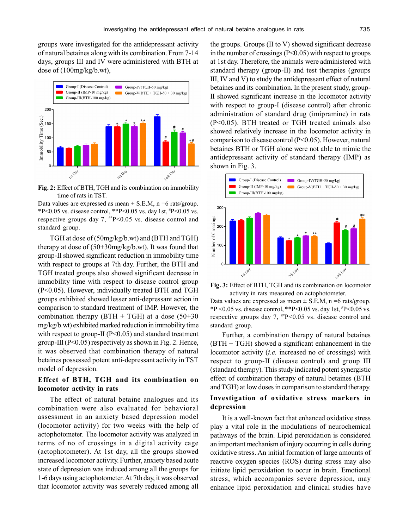groups were investigated for the antidepressant activity of natural betaines along with its combination. From 7-14 days, groups III and IV were administered with BTH at dose of (100mg/kg/b.wt),



**Fig. 2:** Effect of BTH, TGH and its combination on immobility time of rats in TST.

Data values are expressed as mean  $\pm$  S.E.M, n =6 rats/group. \*P<0.05 vs. disease control, \*\*P<0.05 vs. day 1st,  $P$ =0.05 vs. respective groups day 7,  $*P<0.05$  vs. disease control and standard group.

TGH at dose of (50mg/kg/b.wt) and (BTH and TGH) therapy at dose of (50+30mg/kg/b.wt). It was found that group-II showed significant reduction in immobility time with respect to groups at 7th day. Further, the BTH and TGH treated groups also showed significant decrease in immobility time with respect to disease control group (P<0.05). However, individually treated BTH and TGH groups exhibited showed lesser anti-depressant action in comparison to standard treatment of IMP. However, the combination therapy (BTH + TGH) at a dose  $(50+30)$ mg/kg/b.wt) exhibited marked reduction in immobility time with respect to group-II ( $P<0.05$ ) and standard treatment group-III ( $P<0.05$ ) respectively as shown in Fig. 2. Hence, it was observed that combination therapy of natural betaines possessed potent anti-depressant activity in TST model of depression.

# **Effect of BTH, TGH and its combination on locomotor activity in rats**

The effect of natural betaine analogues and its combination were also evaluated for behavioral assessment in an anxiety based depression model (locomotor activity) for two weeks with the help of actophotometer. The locomotor activity was analyzed in terms of no of crossings in a digital activity cage (actophotometer). At 1st day, all the groups showed increased locomotor activity. Further, anxiety based acute state of depression was induced among all the groups for 1-6 days using actophotometer. At 7th day, it was observed that locomotor activity was severely reduced among all

the groups. Groups (II to V) showed significant decrease in the number of crossings (P<0.05) with respect to groups at 1st day. Therefore, the animals were administered with standard therapy (group-II) and test therapies (groups III, IV and V) to study the antidepressant effect of natural betaines and its combination. In the present study, group-II showed significant increase in the locomotor activity with respect to group-I (disease control) after chronic administration of standard drug (imipramine) in rats (P<0.05). BTH treated or TGH treated animals also showed relatively increase in the locomotor activity in comparison to disease control (P<0.05). However, natural betaines BTH or TGH alone were not able to mimic the antidepressant activity of standard therapy (IMP) as shown in Fig. 3.



**Fig. 3:** Effect of BTH, TGH and its combination on locomotor activity in rats measured on actophotometer.

Data values are expressed as mean  $\pm$  S.E.M, n =6 rats/group. \*P < 0.05 vs. disease control, \*\*P < 0.05 vs. day 1st,  $P$  < 0.05 vs. respective groups day 7,  $^{**}P<0.05$  vs. disease control and standard group.

Further, a combination therapy of natural betaines (BTH + TGH) showed a significant enhancement in the locomotor activity (*i.e.* increased no of crossings) with respect to group-II (disease control) and group III (standard therapy). This study indicated potent synergistic effect of combination therapy of natural betaines (BTH and TGH) at low doses in comparison to standard therapy.

#### **Investigation of oxidative stress markers in depression**

It is a well-known fact that enhanced oxidative stress play a vital role in the modulations of neurochemical pathways of the brain. Lipid peroxidation is considered an important mechanism of injury occurring in cells during oxidative stress. An initial formation of large amounts of reactive oxygen species (ROS) during stress may also initiate lipid peroxidation to occur in brain. Emotional stress, which accompanies severe depression, may enhance lipid peroxidation and clinical studies have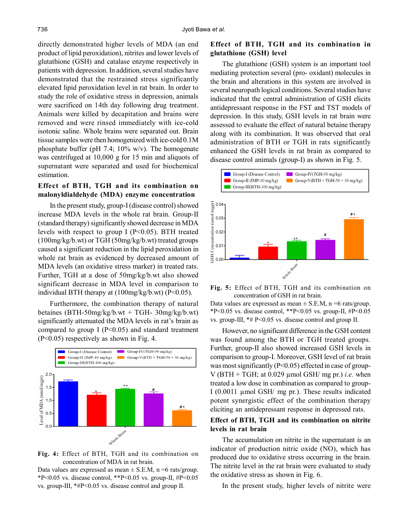directly demonstrated higher levels of MDA (an end product of lipid peroxidation), nitrites and lower levels of glutathione (GSH) and catalase enzyme respectively in patients with depression. In addition, several studies have demonstrated that the restrained stress significantly elevated lipid peroxidation level in rat brain. In order to study the role of oxidative stress in depression, animals were sacrificed on 14th day following drug treatment. Animals were killed by decapitation and brains were removed and were rinsed immediately with ice-cold isotonic saline. Whole brains were separated out. Brain tissue samples were then homogenized with ice-cold 0.1M phosphate buffer (pH 7.4; 10% w/v). The homogenate was centrifuged at 10,000 g for 15 min and aliquots of supernatant were separated and used for biochemical estimation.

# **Effect of BTH, TGH and its combination on malonyldialdehyde (MDA) enzyme concentration**

In the present study, group-I (disease control) showed increase MDA levels in the whole rat brain. Group-II (standard therapy) significantly showed decrease in MDA levels with respect to group I ( $P<0.05$ ). BTH treated (100mg/kg/b.wt) or TGH (50mg/kg/b.wt) treated groups caused a significant reduction in the lipid peroxidation in whole rat brain as evidenced by decreased amount of MDA levels (an oxidative stress marker) in treated rats. Further, TGH at a dose of 50mg/kg/b.wt also showed significant decrease in MDA level in comparison to individual BTH therapy at (100mg/kg/b.wt) (P<0.05).

Furthermore, the combination therapy of natural betaines (BTH-50mg/kg/b.wt + TGH- 30mg/kg/b.wt) significantly attenuated the MDA levels in rat's brain as compared to group I ( $P<0.05$ ) and standard treatment (P<0.05) respectively as shown in Fig. 4.



**Fig. 4:** Effect of BTH, TGH and its combination on concentration of MDA in rat brain.

Data values are expressed as mean  $\pm$  S.E.M, n =6 rats/group. \*P<0.05 vs. disease control, \*\*P<0.05 vs. group-II,  $\#P$  <0.05 vs. group-III, \*#P<0.05 vs. disease control and group II.

# **Effect of BTH, TGH and its combination in glutathione (GSH) level**

The glutathione (GSH) system is an important tool mediating protection several (pro- oxidant) molecules in the brain and alterations in this system are involved in several neuropath logical conditions. Several studies have indicated that the central administration of GSH elicits antidepressant response in the FST and TST models of depression. In this study, GSH levels in rat brain were assessed to evaluate the effect of natural betaine therapy along with its combination. It was observed that oral administration of BTH or TGH in rats significantly enhanced the GSH levels in rat brain as compared to disease control animals (group-I) as shown in Fig. 5.



**Fig. 5:** Effect of BTH, TGH and its combination on concentration of GSH in rat brain.

Data values are expressed as mean  $\pm$  S.E.M, n =6 rats/group. \*P<0.05 vs. disease control, \*\*P<0.05 vs. group-II,  $#P$ <0.05 vs. group-III, \*# P<0.05 vs. disease control and group II.

However, no significant difference in the GSH content was found among the BTH or TGH treated groups. Further, group-II also showed increased GSH levels in comparison to group-I. Moreover, GSH level of rat brain was most significantly (P<0.05) effected in case of group-V (BTH + TGH; at  $0.029$  µmol GSH/ mg pr.) *i.e.* when treated a low dose in combination as compared to group-I (0.0011 µmol GSH/ mg pr.). These results indicated potent synergistic effect of the combination therapy eliciting an antidepressant response in depressed rats.

### **Effect of BTH, TGH and its combination on nitrite levels in rat brain**

The accumulation on nitrite in the supernatant is an indicator of production nitric oxide (NO), which has produced due to oxidative stress occurring in the brain. The nitrite level in the rat brain were evaluated to study the oxidative stress as shown in Fig. 6.

In the present study, higher levels of nitrite were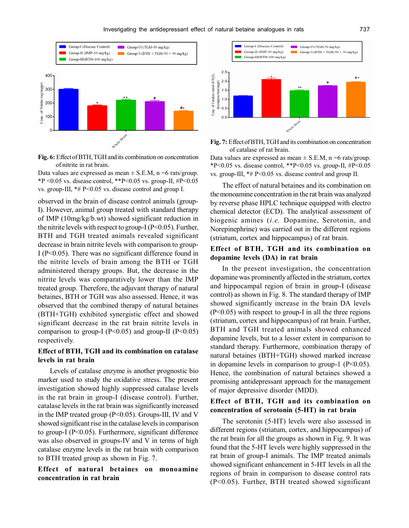

**Fig. 6:** Effect of BTH, TGH and its combination on concentration of nitrite in rat brain.

Data values are expressed as mean  $\pm$  S.E.M, n =6 rats/group. \*P < 0.05 vs. disease control, \*\*P < 0.05 vs. group-II,  $\text{\#P}$  < 0.05 vs. group-III, \*# P<0.05 vs. disease control and group I.

observed in the brain of disease control animals (group-I). However, animal group treated with standard therapy of IMP (10mg/kg/b.wt) showed significant reduction in the nitrite levels with respect to group-I ( $P<0.05$ ). Further, BTH and TGH treated animals revealed significant decrease in brain nitrite levels with comparison to group-I (P<0.05). There was no significant difference found in the nitrite levels of brain among the BTH or TGH administered therapy groups. But, the decrease in the nitrite levels was comparatively lower than the IMP treated group. Therefore, the adjuvant therapy of natural betaines, BTH or TGH was also assessed. Hence, it was observed that the combined therapy of natural betaines (BTH+TGH) exhibited synergistic effect and showed significant decrease in the rat brain nitrite levels in comparison to group-I ( $P<0.05$ ) and group-II ( $P<0.05$ ) respectively.

# **Effect of BTH, TGH and its combination on catalase levels in rat brain**

Levels of catalase enzyme is another prognostic bio marker used to study the oxidative stress. The present investigation showed highly suppressed catalase levels in the rat brain in group-I (disease control). Further, catalase levels in the rat brain was significantly increased in the IMP treated group (P<0.05). Groups-III, IV and V showed significant rise in the catalase levels in comparison to group-I (P<0.05). Furthermore, significant difference was also observed in groups-IV and V in terms of high catalase enzyme levels in the rat brain with comparison to BTH treated group as shown in Fig. 7.

### **Effect of natural betaines on monoamine concentration in rat brain**





Data values are expressed as mean  $\pm$  S.E.M, n =6 rats/group. \*P<0.05 vs. disease control, \*\*P<0.05 vs. group-II,  $\#P$ <0.05 vs. group-III, \*# P<0.05 vs. disease control and group II.

The effect of natural betaines and its combination on the monoamine concentration in the rat brain was analyzed by reverse phase HPLC technique equipped with electro chemical detector (ECD). The analytical assessment of biogenic amines (*i.e.* Dopamine, Serotonin, and Norepinephrine) was carried out in the different regions (striatum, cortex and hippocampus) of rat brain.

# **Effect of BTH, TGH and its combination on dopamine levels (DA) in rat brain**

In the present investigation, the concentration dopamine was prominently affected in the striatum, cortex and hippocampal region of brain in group-I (disease control) as shown in Fig. 8. The standard therapy of IMP showed significantly increase in the brain DA levels (P<0.05) with respect to group-I in all the three regions (striatum, cortex and hippocampus) of rat brain. Further, BTH and TGH treated animals showed enhanced dopamine levels, but to a lesser extent in comparison to standard therapy. Furthermore, combination therapy of natural betaines (BTH+TGH) showed marked increase in dopamine levels in comparison to group-1  $(P<0.05)$ . Hence, the combination of natural betaines showed a promising antidepressant approach for the management of major depressive disorder (MDD).

# **Effect of BTH, TGH and its combination on concentration of serotonin (5-HT) in rat brain**

The serotonin (5-HT) levels were also assessed in different regions (striatum, cortex, and hippocampus) of the rat brain for all the groups as shown in Fig. 9. It was found that the 5-HT levels were highly suppressed in the rat brain of group-I animals. The IMP treated animals showed significant enhancement in 5-HT levels in all the regions of brain in comparison to disease control rats (P<0.05). Further, BTH treated showed significant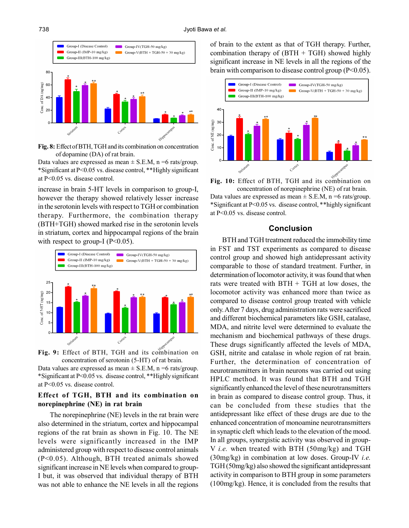

**Fig. 8:** Effect of BTH, TGH and its combination on concentration of dopamine (DA) of rat brain.

Data values are expressed as mean  $\pm$  S.E.M, n =6 rats/group. \*Significant at P<0.05 vs. disease control, \*\*Highly significant at P<0.05 vs. disease control.

increase in brain 5-HT levels in comparison to group-I, however the therapy showed relatively lesser increase in the serotonin levels with respect to TGH or combination therapy. Furthermore, the combination therapy (BTH+TGH) showed marked rise in the serotonin levels in striatum, cortex and hippocampal regions of the brain with respect to group-I ( $P<0.05$ ).



**Fig. 9:** Effect of BTH, TGH and its combination on concentration of serotonin (5-HT) of rat brain.

Data values are expressed as mean  $\pm$  S.E.M, n =6 rats/group. \*Significant at P<0.05 vs. disease control, \*\*Highly significant at P<0.05 vs. disease control.

# **Effect of TGH, BTH and its combination on norepinephrine (NE) in rat brain**

The norepinephrine (NE) levels in the rat brain were also determined in the striatum, cortex and hippocampal regions of the rat brain as shown in Fig. 10. The NE levels were significantly increased in the IMP administered group with respect to disease control animals (P<0.05). Although, BTH treated animals showed significant increase in NE levels when compared to group-I but, it was observed that individual therapy of BTH was not able to enhance the NE levels in all the regions of brain to the extent as that of TGH therapy. Further, combination therapy of  $(BTH + TGH)$  showed highly significant increase in NE levels in all the regions of the brain with comparison to disease control group (P<0.05).



**Fig. 10:** Effect of BTH, TGH and its combination on concentration of norepinephrine (NE) of rat brain. Data values are expressed as mean  $\pm$  S.E.M, n =6 rats/group. \*Significant at P<0.05 vs. disease control, \*\*highly significant

at P<0.05 vs. disease control.

#### **Conclusion**

BTH and TGH treatment reduced the immobility time in FST and TST experiments as compared to disease control group and showed high antidepressant activity comparable to those of standard treatment. Further, in determination of locomotor activity, it was found that when rats were treated with  $BTH + TGH$  at low doses, the locomotor activity was enhanced more than twice as compared to disease control group treated with vehicle only. After 7 days, drug administration rats were sacrificed and different biochemical parameters like GSH, catalase, MDA, and nitrite level were determined to evaluate the mechanism and biochemical pathways of these drugs. These drugs significantly affected the levels of MDA, GSH, nitrite and catalase in whole region of rat brain. Further, the determination of concentration of neurotransmitters in brain neurons was carried out using HPLC method. It was found that BTH and TGH significantly enhanced the level of these neurotransmitters in brain as compared to disease control group. Thus, it can be concluded from these studies that the antidepressant like effect of these drugs are due to the enhanced concentration of monoamine neurotransmitters in synaptic cleft which leads to the elevation of the mood. In all groups, synergistic activity was observed in group-V *i.e.* when treated with BTH (50mg/kg) and TGH (30mg/kg) in combination at low doses. Group-IV *i.e.* TGH (50mg/kg) also showed the significant antidepressant activity in comparison to BTH group in some parameters (100mg/kg). Hence, it is concluded from the results that